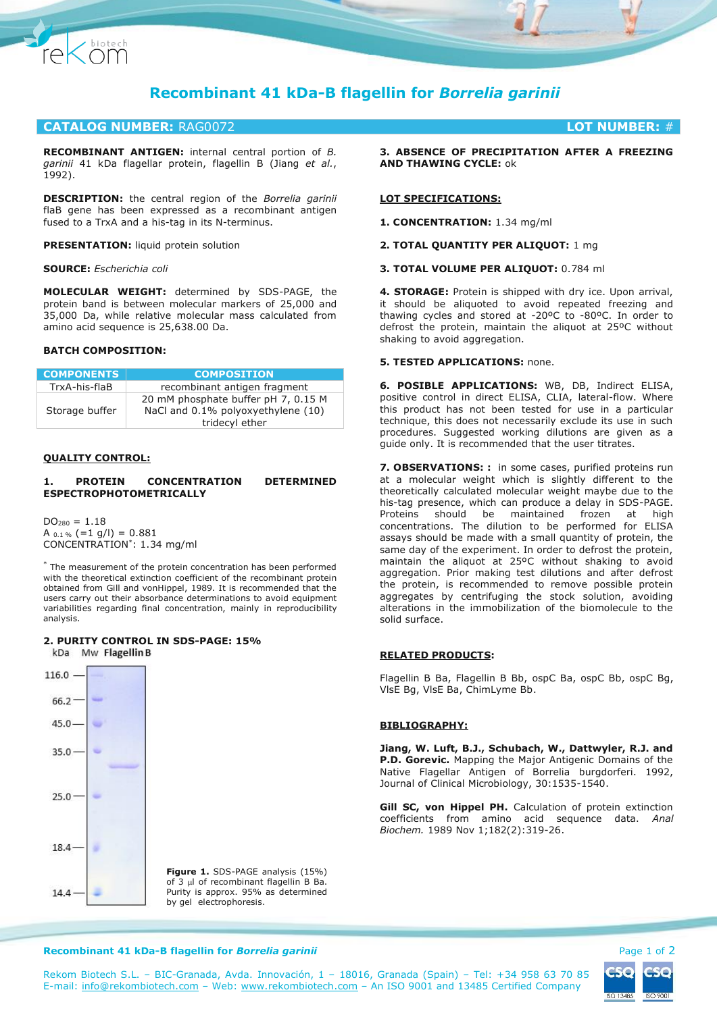

# **CATALOG NUMBER:** RAG0072 **LOT NUMBER:** #

**RECOMBINANT ANTIGEN:** internal central portion of *B. garinii* 41 kDa flagellar protein, flagellin B (Jiang *et al.*, 1992).

**DESCRIPTION:** the central region of the *Borrelia garinii* flaB gene has been expressed as a recombinant antigen fused to a TrxA and a his-tag in its N-terminus.

**PRESENTATION:** liquid protein solution

#### **SOURCE:** *Escherichia coli*

Chiotech

**MOLECULAR WEIGHT:** determined by SDS-PAGE, the protein band is between molecular markers of 25,000 and 35,000 Da, while relative molecular mass calculated from amino acid sequence is 25,638.00 Da.

## **BATCH COMPOSITION:**

| <b>COMPONENTS</b> | <b>COMPOSITION</b>                                                                          |
|-------------------|---------------------------------------------------------------------------------------------|
| TrxA-his-flaB     | recombinant antigen fragment                                                                |
| Storage buffer    | 20 mM phosphate buffer pH 7, 0.15 M<br>NaCl and 0.1% polyoxyethylene (10)<br>tridecyl ether |

#### **QUALITY CONTROL:**

### **1. PROTEIN CONCENTRATION DETERMINED ESPECTROPHOTOMETRICALLY**

 $DO<sub>280</sub> = 1.18$ A  $_{0.1\%}$  (=1 g/l) = 0.881 CONCENTRATION\* : 1.34 mg/ml

\* The measurement of the protein concentration has been performed with the theoretical extinction coefficient of the recombinant protein obtained from Gill and vonHippel, 1989. It is recommended that the users carry out their absorbance determinations to avoid equipment variabilities regarding final concentration, mainly in reproducibility analysis.

# **2. PURITY CONTROL IN SDS-PAGE: 15%**



**Figure 1.** SDS-PAGE analysis (15%) of 3 µl of recombinant flagellin B Ba. Purity is approx. 95% as determined by gel electrophoresis.

**3. ABSENCE OF PRECIPITATION AFTER A FREEZING AND THAWING CYCLE:** ok

## **LOT SPECIFICATIONS:**

**1. CONCENTRATION:** 1.34 mg/ml

**2. TOTAL QUANTITY PER ALIQUOT:** 1 mg

**3. TOTAL VOLUME PER ALIQUOT:** 0.784 ml

**4. STORAGE:** Protein is shipped with dry ice. Upon arrival, it should be aliquoted to avoid repeated freezing and thawing cycles and stored at -20ºC to -80ºC. In order to defrost the protein, maintain the aliquot at 25ºC without shaking to avoid aggregation.

# **5. TESTED APPLICATIONS:** none.

**6. POSIBLE APPLICATIONS:** WB, DB, Indirect ELISA, positive control in direct ELISA, CLIA, lateral-flow. Where this product has not been tested for use in a particular technique, this does not necessarily exclude its use in such procedures. Suggested working dilutions are given as a guide only. It is recommended that the user titrates.

**7. OBSERVATIONS: :** in some cases, purified proteins run at a molecular weight which is slightly different to the theoretically calculated molecular weight maybe due to the his-tag presence, which can produce a delay in SDS-PAGE. Proteins should be maintained frozen at high concentrations. The dilution to be performed for ELISA assays should be made with a small quantity of protein, the same day of the experiment. In order to defrost the protein, maintain the aliquot at 25ºC without shaking to avoid aggregation. Prior making test dilutions and after defrost the protein, is recommended to remove possible protein aggregates by centrifuging the stock solution, avoiding alterations in the immobilization of the biomolecule to the solid surface.

## **RELATED PRODUCTS:**

Flagellin B Ba, Flagellin B Bb, ospC Ba, ospC Bb, ospC Bg, VlsE Bg, VlsE Ba, ChimLyme Bb.

#### **BIBLIOGRAPHY:**

**Jiang, W. Luft, B.J., Schubach, W., Dattwyler, R.J. and P.D. Gorevic.** Mapping the Major Antigenic Domains of the Native Flagellar Antigen of Borrelia burgdorferi. 1992, Journal of Clinical Microbiology, 30:1535-1540.

**Gill SC, von Hippel PH.** Calculation of protein extinction coefficients from amino acid sequence data. *Anal Biochem.* 1989 Nov 1;182(2):319-26.

#### **Recombinant 41 kDa-B flagellin for** *Borrelia garinii* **Page 1 of 2 and** *Page 1 of 2* **and** *Page 1 of 2* **and** *Page 1 of 2*



Rekom Biotech S.L. – BIC-Granada, Avda. Innovación, 1 – 18016, Granada (Spain) – Tel: +34 958 63 70 85 E-mail: [info@rekombiotech.com](mailto:info@rekombiotech.com) – Web: [www.rekombiotech.com](file:///D:/Dropbox/Rekom/pdfs/www.rekombiotech.com) – An ISO 9001 and 13485 Certified Company